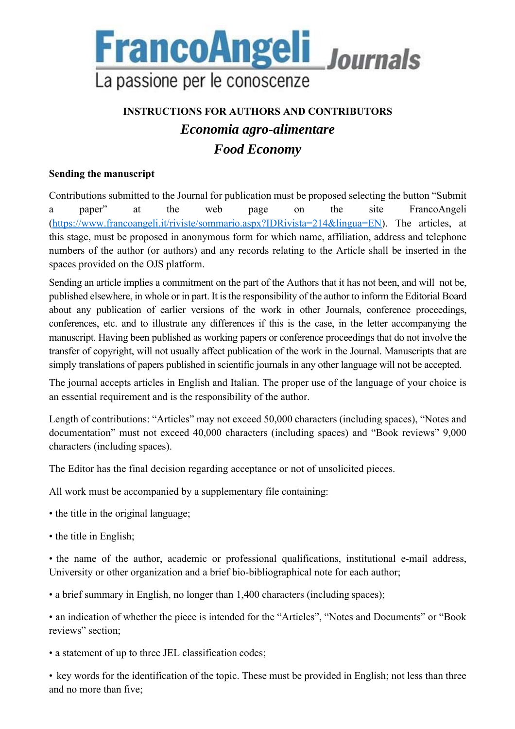

## **INSTRUCTIONS FOR AUTHORS AND CONTRIBUTORS**  *Economia agro-alimentare Food Economy*

### **Sending the manuscript**

Contributions submitted to the Journal for publication must be proposed selecting the button "Submit a paper" at the web page on the site FrancoAngeli (https://www.francoangeli.it/riviste/sommario.aspx?IDRivista=214&lingua=EN). The articles, at this stage, must be proposed in anonymous form for which name, affiliation, address and telephone numbers of the author (or authors) and any records relating to the Article shall be inserted in the spaces provided on the OJS platform.

Sending an article implies a commitment on the part of the Authors that it has not been, and will not be, published elsewhere, in whole or in part. It is the responsibility of the author to inform the Editorial Board about any publication of earlier versions of the work in other Journals, conference proceedings, conferences, etc. and to illustrate any differences if this is the case, in the letter accompanying the manuscript. Having been published as working papers or conference proceedings that do not involve the transfer of copyright, will not usually affect publication of the work in the Journal. Manuscripts that are simply translations of papers published in scientific journals in any other language will not be accepted.

The journal accepts articles in English and Italian. The proper use of the language of your choice is an essential requirement and is the responsibility of the author.

Length of contributions: "Articles" may not exceed 50,000 characters (including spaces), "Notes and documentation" must not exceed 40,000 characters (including spaces) and "Book reviews" 9,000 characters (including spaces).

The Editor has the final decision regarding acceptance or not of unsolicited pieces.

All work must be accompanied by a supplementary file containing:

- the title in the original language;
- the title in English;

• the name of the author, academic or professional qualifications, institutional e-mail address, University or other organization and a brief bio-bibliographical note for each author;

• a brief summary in English, no longer than 1,400 characters (including spaces);

• an indication of whether the piece is intended for the "Articles", "Notes and Documents" or "Book reviews" section;

• a statement of up to three JEL classification codes;

• key words for the identification of the topic. These must be provided in English; not less than three and no more than five;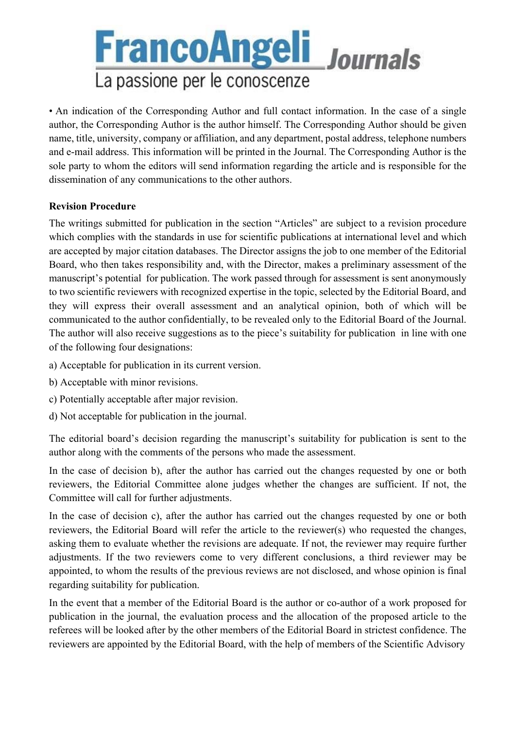# **FrancoAngeli** Journals La passione per le conoscenze

• An indication of the Corresponding Author and full contact information. In the case of a single author, the Corresponding Author is the author himself. The Corresponding Author should be given name, title, university, company or affiliation, and any department, postal address, telephone numbers and e-mail address. This information will be printed in the Journal. The Corresponding Author is the sole party to whom the editors will send information regarding the article and is responsible for the dissemination of any communications to the other authors.

#### **Revision Procedure**

The writings submitted for publication in the section "Articles" are subject to a revision procedure which complies with the standards in use for scientific publications at international level and which are accepted by major citation databases. The Director assigns the job to one member of the Editorial Board, who then takes responsibility and, with the Director, makes a preliminary assessment of the manuscript's potential for publication. The work passed through for assessment is sent anonymously to two scientific reviewers with recognized expertise in the topic, selected by the Editorial Board, and they will express their overall assessment and an analytical opinion, both of which will be communicated to the author confidentially, to be revealed only to the Editorial Board of the Journal. The author will also receive suggestions as to the piece's suitability for publication in line with one of the following four designations:

- a) Acceptable for publication in its current version.
- b) Acceptable with minor revisions.
- c) Potentially acceptable after major revision.
- d) Not acceptable for publication in the journal.

The editorial board's decision regarding the manuscript's suitability for publication is sent to the author along with the comments of the persons who made the assessment.

In the case of decision b), after the author has carried out the changes requested by one or both reviewers, the Editorial Committee alone judges whether the changes are sufficient. If not, the Committee will call for further adjustments.

In the case of decision c), after the author has carried out the changes requested by one or both reviewers, the Editorial Board will refer the article to the reviewer(s) who requested the changes, asking them to evaluate whether the revisions are adequate. If not, the reviewer may require further adjustments. If the two reviewers come to very different conclusions, a third reviewer may be appointed, to whom the results of the previous reviews are not disclosed, and whose opinion is final regarding suitability for publication.

In the event that a member of the Editorial Board is the author or co-author of a work proposed for publication in the journal, the evaluation process and the allocation of the proposed article to the referees will be looked after by the other members of the Editorial Board in strictest confidence. The reviewers are appointed by the Editorial Board, with the help of members of the Scientific Advisory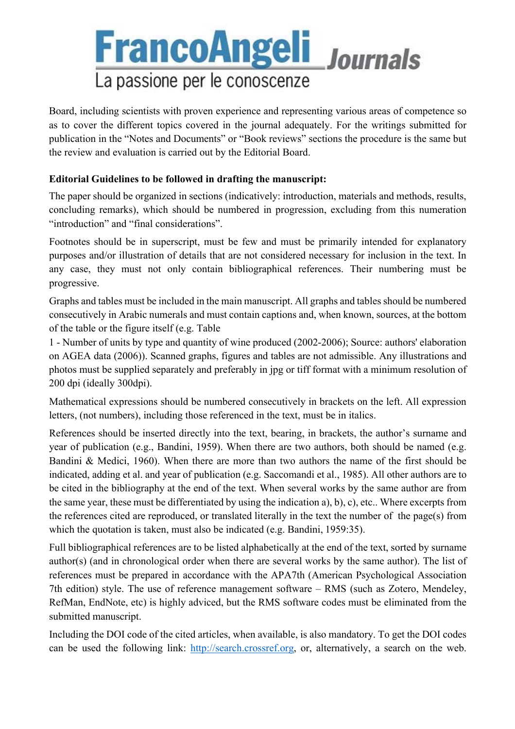# **FrancoAngeli** Journals La passione per le conoscenze

Board, including scientists with proven experience and representing various areas of competence so as to cover the different topics covered in the journal adequately. For the writings submitted for publication in the "Notes and Documents" or "Book reviews" sections the procedure is the same but the review and evaluation is carried out by the Editorial Board.

### **Editorial Guidelines to be followed in drafting the manuscript:**

The paper should be organized in sections (indicatively: introduction, materials and methods, results, concluding remarks), which should be numbered in progression, excluding from this numeration "introduction" and "final considerations".

Footnotes should be in superscript, must be few and must be primarily intended for explanatory purposes and/or illustration of details that are not considered necessary for inclusion in the text. In any case, they must not only contain bibliographical references. Their numbering must be progressive.

Graphs and tables must be included in the main manuscript. All graphs and tables should be numbered consecutively in Arabic numerals and must contain captions and, when known, sources, at the bottom of the table or the figure itself (e.g. Table

1 - Number of units by type and quantity of wine produced (2002-2006); Source: authors' elaboration on AGEA data (2006)). Scanned graphs, figures and tables are not admissible. Any illustrations and photos must be supplied separately and preferably in jpg or tiff format with a minimum resolution of 200 dpi (ideally 300dpi).

Mathematical expressions should be numbered consecutively in brackets on the left. All expression letters, (not numbers), including those referenced in the text, must be in italics.

References should be inserted directly into the text, bearing, in brackets, the author's surname and year of publication (e.g., Bandini, 1959). When there are two authors, both should be named (e.g. Bandini & Medici, 1960). When there are more than two authors the name of the first should be indicated, adding et al. and year of publication (e.g. Saccomandi et al., 1985). All other authors are to be cited in the bibliography at the end of the text. When several works by the same author are from the same year, these must be differentiated by using the indication a), b), c), etc.. Where excerpts from the references cited are reproduced, or translated literally in the text the number of the page(s) from which the quotation is taken, must also be indicated (e.g. Bandini, 1959:35).

Full bibliographical references are to be listed alphabetically at the end of the text, sorted by surname author(s) (and in chronological order when there are several works by the same author). The list of references must be prepared in accordance with the APA7th (American Psychological Association 7th edition) style. The use of reference management software – RMS (such as Zotero, Mendeley, RefMan, EndNote, etc) is highly adviced, but the RMS software codes must be eliminated from the submitted manuscript.

Including the DOI code of the cited articles, when available, is also mandatory. To get the DOI codes can be used the following link: http://search.crossref.org, or, alternatively, a search on the web.